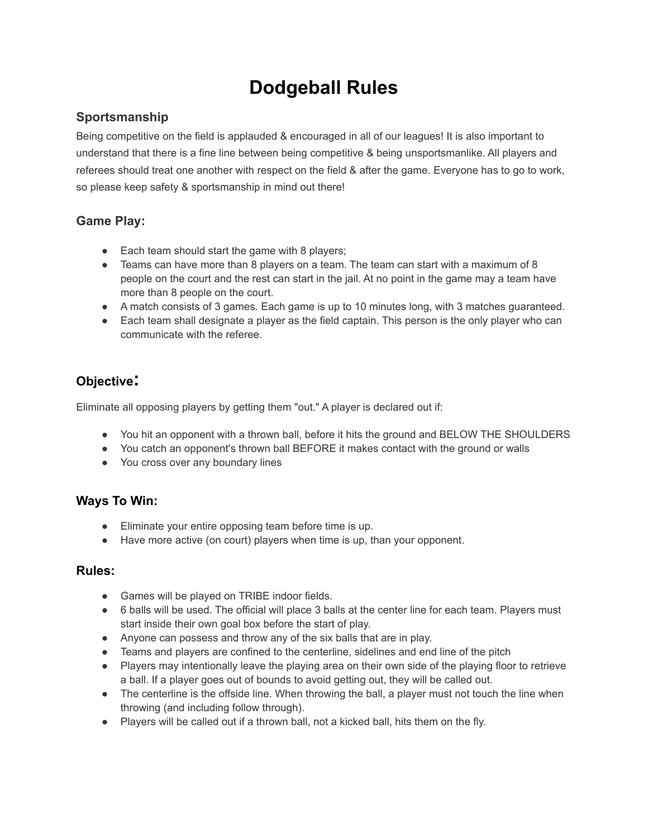# **Dodgeball Rules**

## **Sportsmanship**

Being competitive on the field is applauded & encouraged in all of our leagues! It is also important to understand that there is a fine line between being competitive & being unsportsmanlike. All players and referees should treat one another with respect on the field & after the game. Everyone has to go to work, so please keep safety & sportsmanship in mind out there!

## **Game Play:**

- Each team should start the game with 8 players;
- Teams can have more than 8 players on a team. The team can start with a maximum of 8 people on the court and the rest can start in the jail. At no point in the game may a team have more than 8 people on the court.
- A match consists of 3 games. Each game is up to 10 minutes long, with 3 matches guaranteed.
- Each team shall designate a player as the field captain. This person is the only player who can communicate with the referee.

## **Objective:**

Eliminate all opposing players by getting them "out." A player is declared out if:

- You hit an opponent with a thrown ball, before it hits the ground and BELOW THE SHOULDERS
- You catch an opponent's thrown ball BEFORE it makes contact with the ground or walls
- You cross over any boundary lines

### **Ways To Win:**

- Eliminate your entire opposing team before time is up.
- Have more active (on court) players when time is up, than your opponent.

#### **Rules:**

- Games will be played on TRIBE indoor fields.
- 6 balls will be used. The official will place 3 balls at the center line for each team. Players must start inside their own goal box before the start of play.
- Anyone can possess and throw any of the six balls that are in play.
- Teams and players are confined to the centerline, sidelines and end line of the pitch
- Players may intentionally leave the playing area on their own side of the playing floor to retrieve a ball. If a player goes out of bounds to avoid getting out, they will be called out.
- The centerline is the offside line. When throwing the ball, a player must not touch the line when throwing (and including follow through).
- Players will be called out if a thrown ball, not a kicked ball, hits them on the fly.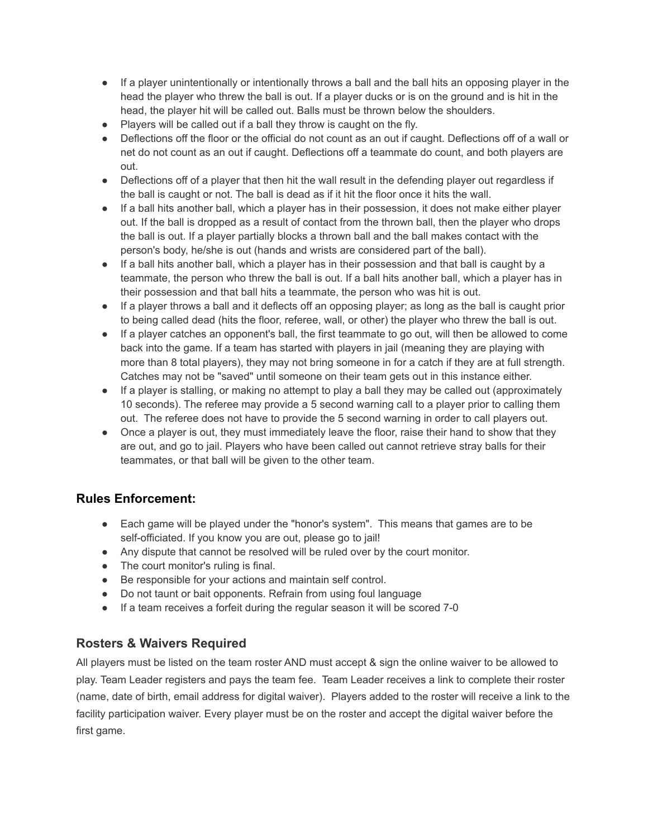- If a player unintentionally or intentionally throws a ball and the ball hits an opposing player in the head the player who threw the ball is out. If a player ducks or is on the ground and is hit in the head, the player hit will be called out. Balls must be thrown below the shoulders.
- Players will be called out if a ball they throw is caught on the fly.
- Deflections off the floor or the official do not count as an out if caught. Deflections off of a wall or net do not count as an out if caught. Deflections off a teammate do count, and both players are out.
- Deflections off of a player that then hit the wall result in the defending player out regardless if the ball is caught or not. The ball is dead as if it hit the floor once it hits the wall.
- If a ball hits another ball, which a player has in their possession, it does not make either player out. If the ball is dropped as a result of contact from the thrown ball, then the player who drops the ball is out. If a player partially blocks a thrown ball and the ball makes contact with the person's body, he/she is out (hands and wrists are considered part of the ball).
- If a ball hits another ball, which a player has in their possession and that ball is caught by a teammate, the person who threw the ball is out. If a ball hits another ball, which a player has in their possession and that ball hits a teammate, the person who was hit is out.
- If a player throws a ball and it deflects off an opposing player; as long as the ball is caught prior to being called dead (hits the floor, referee, wall, or other) the player who threw the ball is out.
- If a player catches an opponent's ball, the first teammate to go out, will then be allowed to come back into the game. If a team has started with players in jail (meaning they are playing with more than 8 total players), they may not bring someone in for a catch if they are at full strength. Catches may not be "saved" until someone on their team gets out in this instance either.
- If a player is stalling, or making no attempt to play a ball they may be called out (approximately 10 seconds). The referee may provide a 5 second warning call to a player prior to calling them out. The referee does not have to provide the 5 second warning in order to call players out.
- Once a player is out, they must immediately leave the floor, raise their hand to show that they are out, and go to jail. Players who have been called out cannot retrieve stray balls for their teammates, or that ball will be given to the other team.

#### **Rules Enforcement:**

- Each game will be played under the "honor's system". This means that games are to be self-officiated. If you know you are out, please go to jail!
- Any dispute that cannot be resolved will be ruled over by the court monitor.
- The court monitor's ruling is final.
- Be responsible for your actions and maintain self control.
- Do not taunt or bait opponents. Refrain from using foul language
- If a team receives a forfeit during the regular season it will be scored 7-0

#### **Rosters & Waivers Required**

All players must be listed on the team roster AND must accept & sign the online waiver to be allowed to play. Team Leader registers and pays the team fee. Team Leader receives a link to complete their roster (name, date of birth, email address for digital waiver). Players added to the roster will receive a link to the facility participation waiver. Every player must be on the roster and accept the digital waiver before the first game.